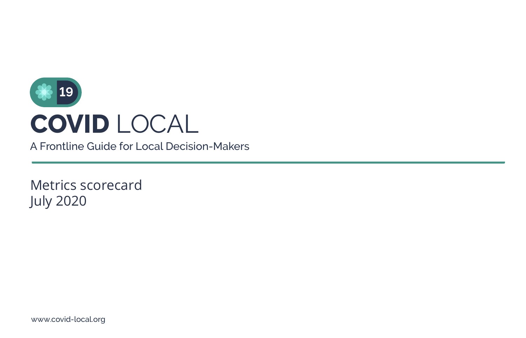

A Frontline Guide for Local Decision-Makers

Metrics scorecard July 2020

www.covid-local.org